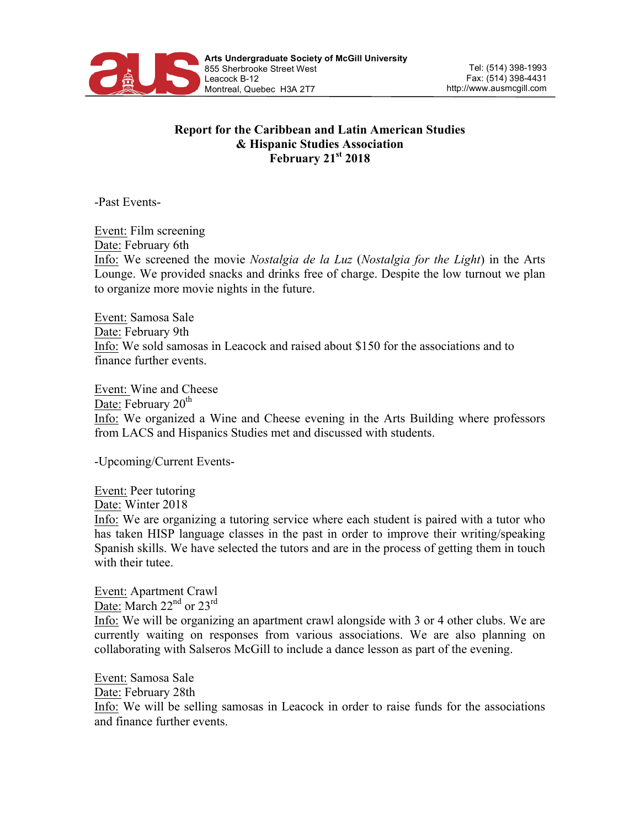

## **Report for the Caribbean and Latin American Studies & Hispanic Studies Association February 21st 2018**

-Past Events-

Event: Film screening Date: February 6th Info: We screened the movie *Nostalgia de la Luz* (*Nostalgia for the Light*) in the Arts Lounge. We provided snacks and drinks free of charge. Despite the low turnout we plan to organize more movie nights in the future.

Event: Samosa Sale Date: February 9th Info: We sold samosas in Leacock and raised about \$150 for the associations and to finance further events.

Event: Wine and Cheese Date: February 20<sup>th</sup> Info: We organized a Wine and Cheese evening in the Arts Building where professors from LACS and Hispanics Studies met and discussed with students.

-Upcoming/Current Events-

Event: Peer tutoring Date: Winter 2018

Info: We are organizing a tutoring service where each student is paired with a tutor who has taken HISP language classes in the past in order to improve their writing/speaking Spanish skills. We have selected the tutors and are in the process of getting them in touch with their tutee.

Event: Apartment Crawl Date: March 22<sup>nd</sup> or 23<sup>rd</sup> Info: We will be organizing an apartment crawl alongside with 3 or 4 other clubs. We are currently waiting on responses from various associations. We are also planning on collaborating with Salseros McGill to include a dance lesson as part of the evening.

Event: Samosa Sale Date: February 28th Info: We will be selling samosas in Leacock in order to raise funds for the associations and finance further events.